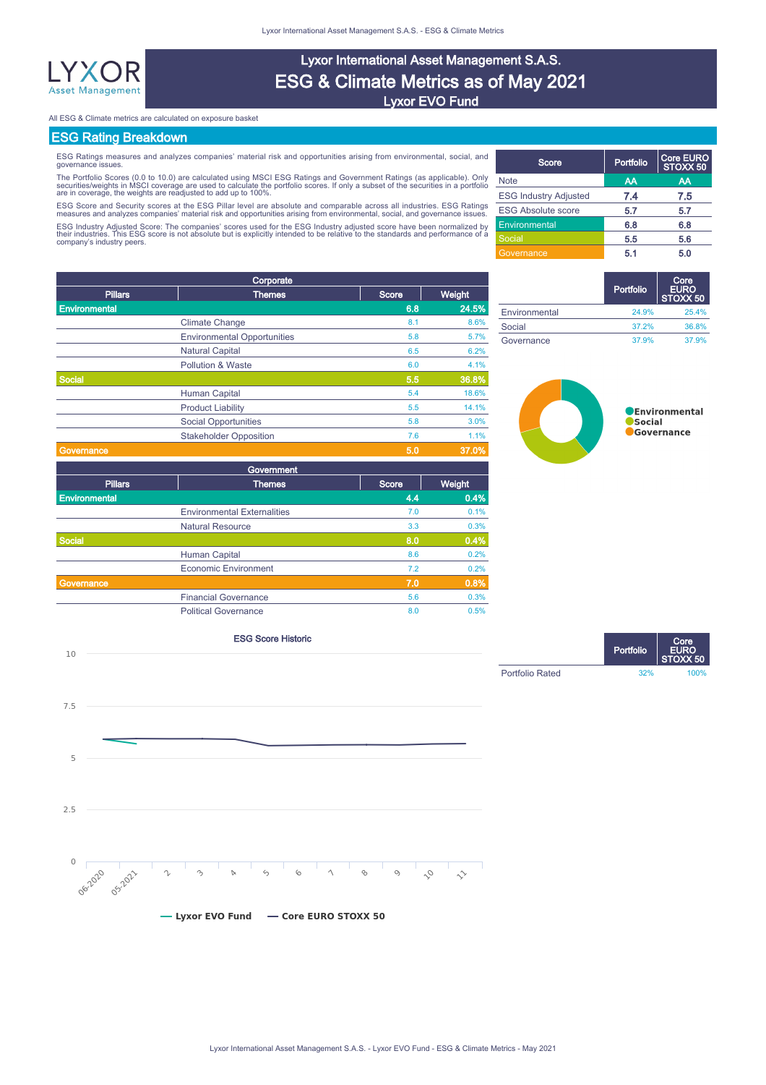

# Lyxor International Asset Management S.A.S. ESG & Climate Metrics as of May 2021 Lyxor EVO Fund

All ESG & Climate metrics are calculated on exposure basket

## ESG Rating Breakdown

ESG Ratings measures and analyzes companies' material risk and opportunities arising from environmental, social, and governance issues.

The Portfolio Scores (0.0 to 10.0) are calculated using MSCI ESG Ratings and Government Ratings (as applicable). Only<br>securities/weights in MSCI coverage are used to calculate the portfolio scores. If only a subset of the

ESG Score and Security scores at the ESG Pillar level are absolute and comparable across all industries. ESG Ratings<br>measures and analyzes companies' material risk and opportunities arising from environmental, social, and

ESG Industry Adjusted Score: The companies' scores used for the ESG Industry adjusted score have been normalized by<br>their industries. This ESG score is not absolute but is explicitly intended to be relative to the standard

|                | Corporate                          |       |        |
|----------------|------------------------------------|-------|--------|
| <b>Pillars</b> | <b>Themes</b>                      | Score | Weight |
| Environmental  |                                    | 6.8   | 24.5%  |
|                | <b>Climate Change</b>              | 8.1   | 8.6%   |
|                | <b>Environmental Opportunities</b> | 5.8   | 5.7%   |
|                | <b>Natural Capital</b>             | 6.5   | 6.2%   |
|                | Pollution & Waste                  | 6.0   | 4.1%   |
| <b>Social</b>  |                                    | 5.5   | 36.8%  |
|                | Human Capital                      | 5.4   | 18.6%  |
|                | <b>Product Liability</b>           | 5.5   | 14.1%  |
|                | <b>Social Opportunities</b>        | 5.8   | 3.0%   |
|                | <b>Stakeholder Opposition</b>      | 7.6   | 1.1%   |
| Governance     |                                    | 5.0   | 37.0%  |
|                | Government                         |       |        |
| <b>Pillars</b> | <b>Themes</b>                      | Score | Weight |
| Environmental  |                                    | 4.4   | 0.4%   |
|                | <b>Environmental Externalities</b> | 7.0   | 0.1%   |
|                | <b>Natural Resource</b>            | 3.3   | 0.3%   |
| Social         |                                    | 8.0   | 0.4%   |
|                | <b>Human Capital</b>               | 8.6   | 0.2%   |
|                | <b>Economic Environment</b>        | 7.2   | 0.2%   |
| Governance     |                                    | 7.0   | 0.8%   |
|                | <b>Financial Governance</b>        | 5.6   | 0.3%   |
|                | <b>Political Governance</b>        | 8.0   | 0.5%   |

| Score                        | Portfolio | <b>Core EURO</b><br>STOXX 50 |
|------------------------------|-----------|------------------------------|
| <b>Note</b>                  | AA        | AA                           |
| <b>ESG Industry Adjusted</b> | 7.4       | 7.5                          |
| <b>ESG Absolute score</b>    | 5.7       | 5.7                          |
| Environmental                | 6.8       | 6.8                          |
| Social                       | 5.5       | 5.6                          |
| Governance                   | 5.1       | 5.0                          |

|               | Portfolio | Core<br><b>EURO</b><br>STOXX 50 |
|---------------|-----------|---------------------------------|
| Environmental | 24.9%     | 25.4%                           |
| Social        | 37.2%     | 36.8%                           |
| Governance    | 37.9%     | 37.9%                           |



# ESG Score Historic 10  $7.5$ 5  $2.5$



Portfolio Core EURO STOXX 50 Portfolio Rated 32% 100%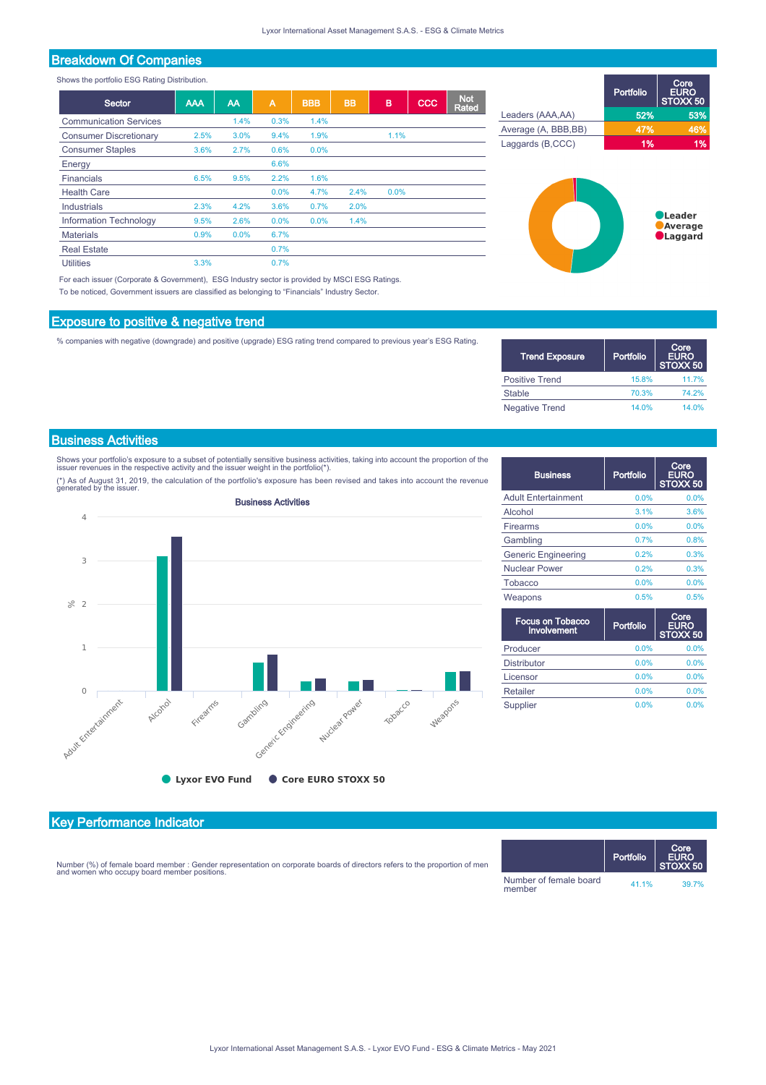## Breakdown Of Companies

Shows the portfolio ESG Rating Distribution.

| Sector                        | <b>AAA</b> | AA   | $\overline{A}$ | <b>BBB</b> | <b>BB</b> | B    | CCC | <b>Not</b><br><b>Rated</b> |
|-------------------------------|------------|------|----------------|------------|-----------|------|-----|----------------------------|
| <b>Communication Services</b> |            | 1.4% | 0.3%           | 1.4%       |           |      |     |                            |
| <b>Consumer Discretionary</b> | 2.5%       | 3.0% | 9.4%           | 1.9%       |           | 1.1% |     |                            |
| <b>Consumer Staples</b>       | 3.6%       | 2.7% | 0.6%           | $0.0\%$    |           |      |     |                            |
| Energy                        |            |      | 6.6%           |            |           |      |     |                            |
| Financials                    | 6.5%       | 9.5% | 2.2%           | 1.6%       |           |      |     |                            |
| <b>Health Care</b>            |            |      | 0.0%           | 4.7%       | 2.4%      | 0.0% |     |                            |
| Industrials                   | 2.3%       | 4.2% | 3.6%           | 0.7%       | 2.0%      |      |     |                            |
| <b>Information Technology</b> | 9.5%       | 2.6% | $0.0\%$        | 0.0%       | 1.4%      |      |     |                            |
| <b>Materials</b>              | 0.9%       | 0.0% | 6.7%           |            |           |      |     |                            |
| <b>Real Estate</b>            |            |      | 0.7%           |            |           |      |     |                            |
| <b>Utilities</b>              | 3.3%       |      | 0.7%           |            |           |      |     |                            |

For each issuer (Corporate & Government), ESG Industry sector is provided by MSCI ESG Ratings. To be noticed, Government issuers are classified as belonging to "Financials" Industry Sector.

#### Exposure to positive & negative trend

% companies with negative (downgrade) and positive (upgrade) ESG rating trend compared to previous year's ESG Rating.

|                      | Portfolio | Core.<br><b>EURO</b><br>STOXX 50 |
|----------------------|-----------|----------------------------------|
| Leaders (AAA,AA)     | 52%       | 53%                              |
| Average (A, BBB, BB) | 47%       | 46%                              |
| Laggards (B,CCC)     | 1%        | 1%                               |
|                      |           |                                  |



| <b>Trend Exposure</b> | Portfolio | Core<br><b>EURO</b><br>STOXX <sub>50</sub> |
|-----------------------|-----------|--------------------------------------------|
| Positive Trend        | 15.8%     | 11.7%                                      |
| <b>Stable</b>         | 70.3%     | 74 2%                                      |
| <b>Negative Trend</b> | 14.0%     | 14 0 <sub>%</sub>                          |

#### Business Activities

Shows your portfolio's exposure to a subset of potentially sensitive business activities, taking into account the proportion of the<br>issuer revenues in the respective activity and the issuer weight in the portfolio(\*).

(\*) As of August 31, 2019, the calculation of the portfolio's exposure has been revised and takes into account the revenue generated by the issuer.



| <b>Business</b>            | Portfolio | Core<br><b>EURO</b><br>STOXX <sub>50</sub> |
|----------------------------|-----------|--------------------------------------------|
| <b>Adult Entertainment</b> | 0.0%      | 0.0%                                       |
| Alcohol                    | 3.1%      | 3.6%                                       |
| Firearms                   | 0.0%      | 0.0%                                       |
| Gambling                   | 0.7%      | 0.8%                                       |
| <b>Generic Engineering</b> | 0.2%      | 0.3%                                       |
| <b>Nuclear Power</b>       | 0.2%      | 0.3%                                       |
| <b>Tobacco</b>             | 0.0%      | 0.0%                                       |
| Weapons                    | 0.5%      | 0.5%                                       |

| <b>Focus on Tobacco</b><br>Involvement | Portfolio | Core<br><b>EURO</b><br>STOXX 50 |
|----------------------------------------|-----------|---------------------------------|
| Producer                               | 0.0%      | 0.0%                            |
| <b>Distributor</b>                     | 0.0%      | 0.0%                            |
| Licensor                               | 0.0%      | 0.0%                            |
| Retailer                               | 0.0%      | 0.0%                            |
| Supplier                               | 0.0%      | 0.0%                            |

### Key Performance Indicator

Number (%) of female board member : Gender representation on corporate boards of directors refers to the proportion of men and women who occupy board member positions.

|                                  | Portfolio | Core<br><b>EURO</b><br>STOXX <sub>50</sub> |
|----------------------------------|-----------|--------------------------------------------|
| Number of female board<br>member | 41.1%     | 39.7%                                      |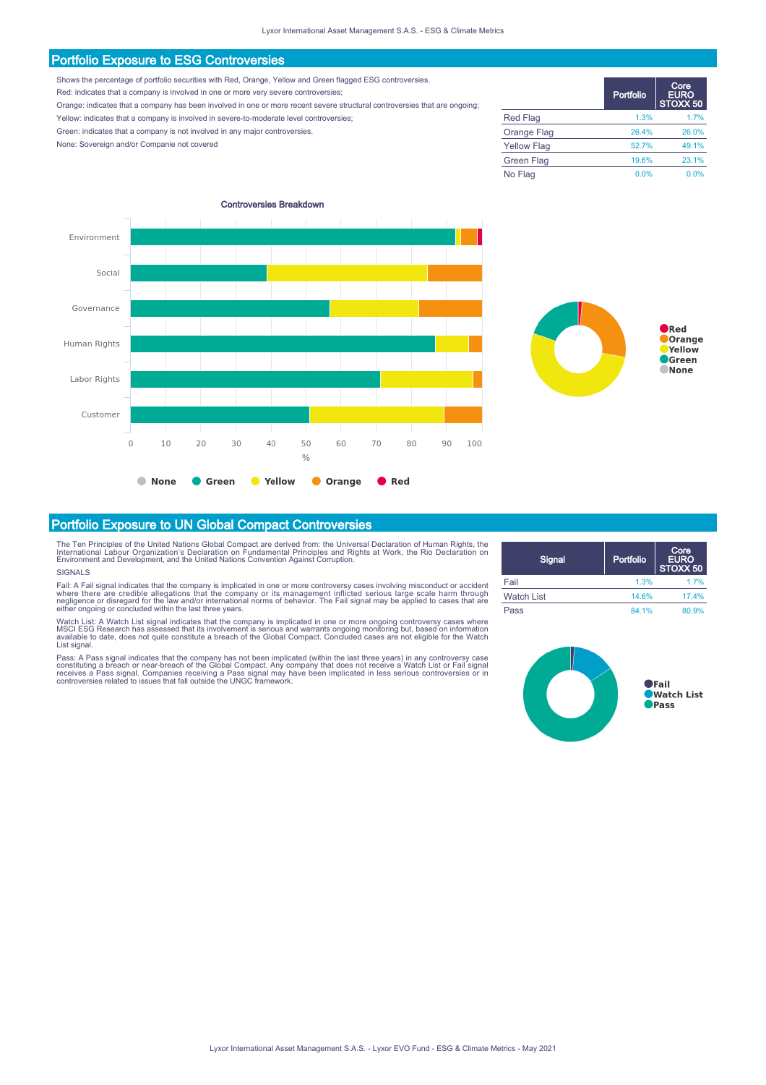#### Portfolio Exposure to ESG Controversies

Shows the percentage of portfolio securities with Red, Orange, Yellow and Green flagged ESG controversies.

Red: indicates that a company is involved in one or more very severe controversies;

Orange: indicates that a company has been involved in one or more recent severe structural controversies that are ongoing;

Yellow: indicates that a company is involved in severe-to-moderate level controversies;

Green: indicates that a company is not involved in any major controversies.

None: Sovereign and/or Companie not covered

|                    | <b>Portfolio</b> | Core,<br><b>EURO</b><br>STOXX 50 |
|--------------------|------------------|----------------------------------|
| <b>Red Flag</b>    | 1.3%             | 1.7%                             |
| Orange Flag        | 26.4%            | 26.0%                            |
| <b>Yellow Flag</b> | 52.7%            | 49.1%                            |
| Green Flag         | 19.6%            | 23.1%                            |
| No Flag            | 0.0%             | 0.0%                             |





#### Portfolio Exposure to UN Global Compact Controversies

The Ten Principles of the United Nations Global Compact are derived from: the Universal Declaration of Human Rights, the<br>International Labour Organization's Declaration on Fundamental Principles and Rights at Work, the Rio

#### **SIGNALS**

Fail: A Fail signal indicates that the company is implicated in one or more controversy cases involving misconduct or accident<br>where there are credible allegations that the company or its management inflicted serious large either ongoing or concluded within the last three years.

Watch List: A Watch List signal indicates that the company is implicated in one or more ongoing controversy cases where<br>MSCI ESG Research has assessed that its involvement is serious and warrants ongoing monitoring but, ba

Pass: A Pass signal indicates that the company has not been implicated (within the last three years) in any controversy case<br>constituting a breach or near-breach of the Global Compact. Any company that does not receive a W

| Signal            | Portfolio | Core<br><b>EURO</b><br>STOXX 50 |
|-------------------|-----------|---------------------------------|
| Fail              | 1.3%      | 1 7%                            |
| <b>Watch List</b> | 14.6%     | 17.4%                           |
| Pass              | 84 1%     | 80.9%                           |

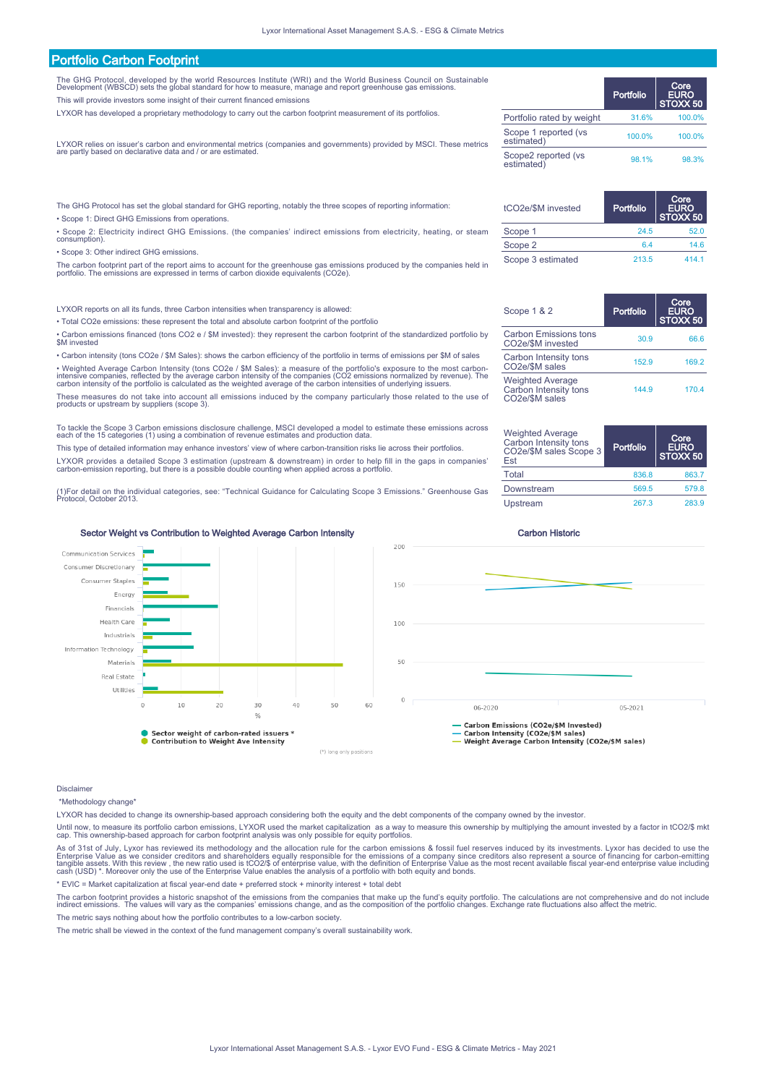| <b>Portfolio Carbon Footprint</b>                                                                                                                                                                                                                                                                                |                                     |           |                                 |
|------------------------------------------------------------------------------------------------------------------------------------------------------------------------------------------------------------------------------------------------------------------------------------------------------------------|-------------------------------------|-----------|---------------------------------|
| The GHG Protocol, developed by the world Resources Institute (WRI) and the World Business Council on Sustainable<br>Development (WBSCD) sets the global standard for how to measure, manage and report greenhouse gas emissions.<br>This will provide investors some insight of their current financed emissions |                                     | Portfolio | Core<br><b>EURO</b><br>STOXX 50 |
| LYXOR has developed a proprietary methodology to carry out the carbon footprint measurement of its portfolios.                                                                                                                                                                                                   | Portfolio rated by weight           | 31.6%     | 100.0%                          |
| LYXOR relies on issuer's carbon and environmental metrics (companies and governments) provided by MSCI. These metrics                                                                                                                                                                                            | Scope 1 reported (ys.<br>estimated) | 100.0%    | 100.0%                          |
| are partly based on declarative data and / or are estimated.                                                                                                                                                                                                                                                     | Scope2 reported (vs<br>estimated)   | 98.1%     | 98.3%                           |
|                                                                                                                                                                                                                                                                                                                  |                                     |           |                                 |

The GHG Protocol has set the global standard for GHG reporting, notably the three scopes of reporting information: • Scope 1: Direct GHG Emissions from operations.

• Scope 2: Electricity indirect GHG Emissions. (the companies' indirect emissions from electricity, heating, or steam consumption).

• Scope 3: Other indirect GHG emissions.

The carbon footprint part of the report aims to account for the greenhouse gas emissions produced by the companies held in portfolio. The emissions are expressed in terms of carbon dioxide equivalents (CO2e).

LYXOR reports on all its funds, three Carbon intensities when transparency is allowed:

• Total CO2e emissions: these represent the total and absolute carbon footprint of the portfolio

• Carbon emissions financed (tons CO2 e / \$M invested): they represent the carbon footprint of the standardized portfolio by \$M invested

• Carbon intensity (tons CO2e / \$M Sales): shows the carbon efficiency of the portfolio in terms of emissions per \$M of sales • Weighted Average Carbon Intensity (tons CO2e / \$M Sales): a measure of the portfolio's exposure to the most carbon-<br>intensive companies, reflected by the average carbon intensity of the companies (CO2 emissions normalize

These measures do not take into account all emissions induced by the company particularly those related to the use of products or upstream by suppliers (scope 3).

To tackle the Scope 3 Carbon emissions disclosure challenge, MSCI developed a model to estimate these emissions across each of the 15 categories (1) using a combination of revenue estimates and production data.

This type of detailed information may enhance investors' view of where carbon-transition risks lie across their portfolios. LYXOR provides a detailed Scope 3 estimation (upstream & downstream) in order to help fill in the gaps in companies' carbon-emission reporting, but there is a possible double counting when applied across a portfolio.

(1)For detail on the individual categories, see: "Technical Guidance for Calculating Scope 3 Emissions." Greenhouse Gas Protocol, October 2013.

Upstream 267.3 283.9

tCO2e/\$M invested Portfolio

Scope 1 24

Scope 1 & 2 Portfolio

Carbon Emissions tons

Carbon Intensity tons

Weighted Average Carbon Intensity tons CO2e/\$M sales

Weighted Average Carbon Intensity tons CO2e/\$M sales Scope 3 Est

Scope 2 6.4 14.6 Scope 3 estimated 213.5 414.1

Carbon Emissions tons 30.9 66.6<br>CO2e/\$M invested 30.9

Carbon Intensity tons 152.9 169.2<br>CO2e/\$M sales

Total 836.8 863.7 Downstream 569.5 579.8

Portfolio

Core EURO STOXX 50

Core EURO STOXX 50

144.9 170.4

Core EURO  $\times$  50

Sector Weight vs Contribution to Weighted Average Carbon Intensity Carbon Carbon Historic



Disclaime

\*Methodology change\*

LYXOR has decided to change its ownership-based approach considering both the equity and the debt components of the company owned by the investor.

Until now, to measure its portfolio carbon emissions, LYXOR used the market capitalization as a way to measure this ownership by multiplying the amount invested by a factor in tCO2/\$ mkt<br>cap. This ownership-based approach

As of 31st of July, Lyxor has reviewed its methodology and the allocation rule for the carbon emissions & fossil fuel reserves induced by its investments. Lyxor has decided to use the<br>Enterprise Value as we consider credit

\* EVIC = Market capitalization at fiscal year-end date + preferred stock + minority interest + total debt

The carbon footprint provides a historic snapshot of the emissions from the companies that make up the fund's equity portfolio. The calculations are not comprehensive and do not include<br>indirect emissions. The values will The metric says nothing about how the portfolio contributes to a low-carbon society.

The metric shall be viewed in the context of the fund management company's overall sustainability work.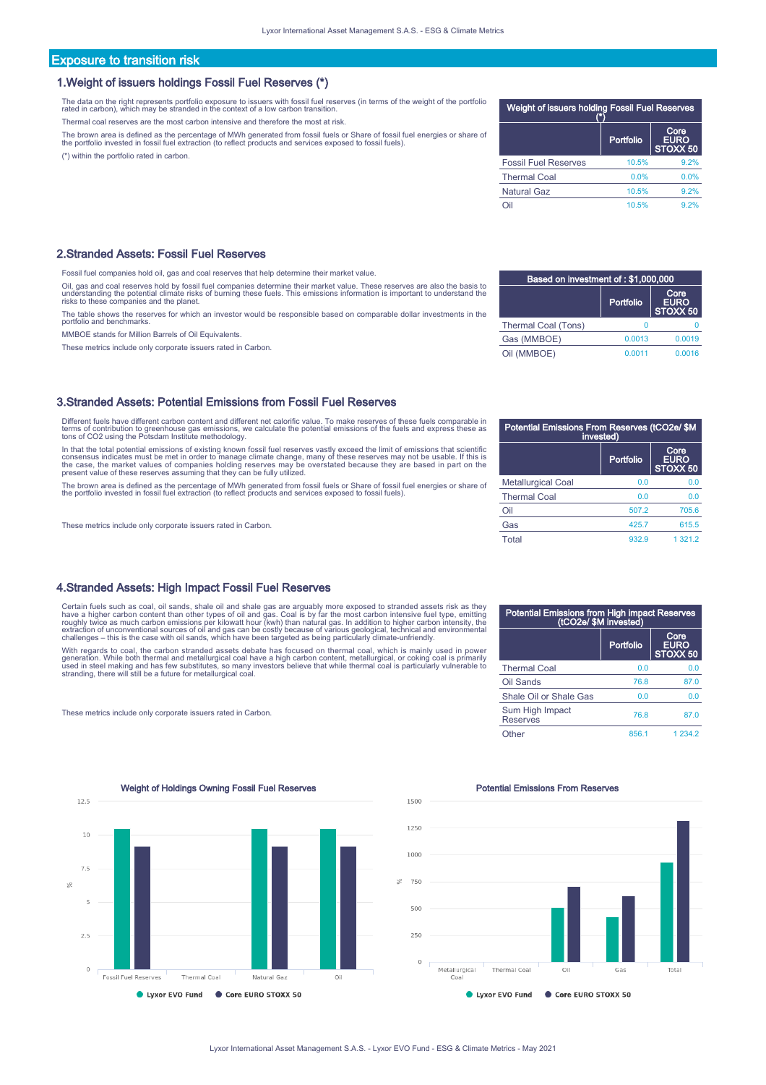#### Exposure to transition risk

#### 1.Weight of issuers holdings Fossil Fuel Reserves (\*)

The data on the right represents portfolio exposure to issuers with fossil fuel reserves (in terms of the weight of the portfolio rated in carbon), which may be stranded in the context of a low carbon transition.

Thermal coal reserves are the most carbon intensive and therefore the most at risk.

The brown area is defined as the percentage of MWh generated from fossil fuels or Share of fossil fuel energies or share of<br>the portfolio invested in fossil fuel extraction (to reflect products and services exposed to foss

(\*) within the portfolio rated in carbon.

#### 2.Stranded Assets: Fossil Fuel Reserves

Fossil fuel companies hold oil, gas and coal reserves that help determine their market value.

Oil, gas and coal reserves hold by fossil fuel companies determine their market value. These reserves are also the basis to<br>understanding the potential climate risks of burning these fuels. This emissions information is im risks to these companies and the planet.

The table shows the reserves for which an investor would be responsible based on comparable dollar investments in the portfolio and benchmarks.

MMBOE stands for Million Barrels of Oil Equivalents.

These metrics include only corporate issuers rated in Carbon.

#### 3.Stranded Assets: Potential Emissions from Fossil Fuel Reserves

Different fuels have different carbon content and different net calorific value. To make reserves of these fuels comparable in terms of contribution to greenhouse gas emissions, we calculate the potential emissions of the fuels and express these as tons of CO2 using the Potsdam Institute methodology.

In that the total potential emissions of existing known fossil fuel reserves vastly exceed the limit of emissions that scientific<br>consensus indicates must be met in order to manage climate change, many of these reserves ma

The brown area is defined as the percentage of MWh generated from fossil fuels or Share of fossil fuel energies or share of<br>the portfolio invested in fossil fuel extraction (to reflect products and services exposed to foss

These metrics include only corporate issuers rated in Carbon.

#### 4.Stranded Assets: High Impact Fossil Fuel Reserves

Certain fuels such as coal, oil sands, shale oil and shale gas are arguably more exposed to stranded assets risk as they<br>have a higher carbon content than other types of oil and gas. Coal is by far the most carbon intensiv

With regards to coal, the carbon stranded assets debate has focused on thermal coal, which is mainly used in power<br>generation. While both thermal and metallurgical coal have a high carbon content, metallurgical, or coking

These metrics include only corporate issuers rated in Carbon.

Weight of Holdings Owning Fossil Fuel Reserves **Potential Emissions From Reserves** Potential Emissions From Reserves  $125$  $10$  $7.5$  $\leq$ F,  $25$  $\circ$ Fossil Fuel Reserves Thermal Coal Natural Gaz Lyxor EVO Fund Core EURO STOXX 50

# Fossil Fuel Reserves 10.5% 9.2% Thermal Coal 0.0% 0.0% Natural Gaz 10.5% 9.2% Oil 10.5% 9.2%

Weight of issuers holding Fossil Fuel Reserves (\*)

Portfolio

ore<br>P∩ EŪ  $\bar{\epsilon}$ 50

| Based on investment of: \$1,000,000 |           |                  |
|-------------------------------------|-----------|------------------|
|                                     | Core      |                  |
|                                     | Portfolio | EURO<br>STOXX 50 |
| Thermal Coal (Tons)                 | n         |                  |
| Gas (MMBOE)                         | 0.0013    | 0.0019           |
| Oil (MMBOE)                         | 0.0011    | 0.0016           |

| Potential Emissions From Reserves (tCO2e/ \$M<br>invested) |           |                                 |
|------------------------------------------------------------|-----------|---------------------------------|
|                                                            | Portfolio | Core<br><b>EURO</b><br>STOXX 50 |
| <b>Metallurgical Coal</b>                                  | 0.0       | 0.0                             |
| <b>Thermal Coal</b>                                        | 0.0       | 0.0                             |
| Oil                                                        | 507.2     | 705.6                           |
| Gas                                                        | 425.7     | 615.5                           |
| Total                                                      | 932.9     | 1 3 2 1 . 2                     |

| <b>Potential Emissions from High impact Reserves</b><br>(tCO2e/ \$M invested) |           |                                            |
|-------------------------------------------------------------------------------|-----------|--------------------------------------------|
|                                                                               | Portfolio | Core<br><b>EURO</b><br>STOXX <sub>50</sub> |
| <b>Thermal Coal</b>                                                           | 0.0       | 0.0                                        |
| Oil Sands                                                                     | 76.8      | 87.0                                       |
| Shale Oil or Shale Gas                                                        | 0.0       | 0.0                                        |
| Sum High Impact<br>Reserves                                                   | 76.8      | 87.0                                       |
| Other                                                                         | 856.1     | 1 234 2                                    |

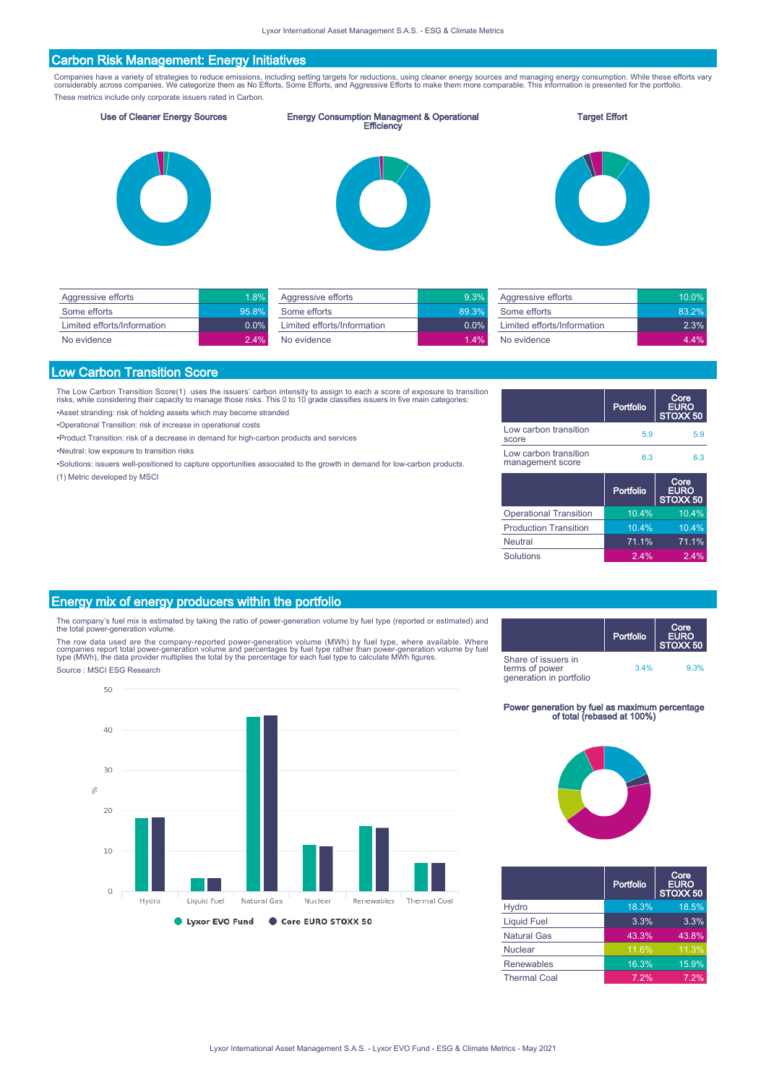#### Carbon Risk Management: Energy Initiatives

Companies have a variety of strategies to reduce emissions, including setting targets for reductions, using cleaner energy sources and managing energy consumption. While these efforts vary<br>considerably across companies. We These metrics include only corporate issuers rated in Carbon.

Use of Cleaner Energy Sources Energy Consumption Managment & Operational Efficiency

#### Target Effort







| Aggressive efforts          | 1.8%    |
|-----------------------------|---------|
| Some efforts                | 95.8%   |
| Limited efforts/Information | $0.0\%$ |
| No evidence                 | 2.4%    |

| Aggressive efforts          | 9.3%    |
|-----------------------------|---------|
| Some efforts                | 89.3%   |
| Limited efforts/Information | $0.0\%$ |
| No evidence                 | $1.4\%$ |
|                             |         |

| Aggressive efforts          | 10.0%     |
|-----------------------------|-----------|
| Some efforts                | $83\,2\%$ |
| Limited efforts/Information | $2.3\%$   |
| No evidence                 | 4 4%      |

#### Low Carbon Transition Score

The Low Carbon Transition Score(1) uses the issuers' carbon intensity to assign to each a score of exposure to transition<br>risks, while considering their capacity to manage those risks. This 0 to 10 grade classifies issuer

•Asset stranding: risk of holding assets which may become stranded

•Operational Transition: risk of increase in operational costs

•Product Transition: risk of a decrease in demand for high-carbon products and services

•Neutral: low exposure to transition risks

•Solutions: issuers well-positioned to capture opportunities associated to the growth in demand for low-carbon products. (1) Metric developed by MSCI

|                                           | Portfolio | Core<br><b>EURO</b><br>STOXX <sub>50</sub> |
|-------------------------------------------|-----------|--------------------------------------------|
| Low carbon transition<br>score            | 5.9       | 5.9                                        |
| Low carbon transition<br>management score | 6.3       | 6.3                                        |
|                                           |           |                                            |
|                                           | Portfolio | Core<br><b>EURO</b><br>STOXX <sub>50</sub> |
| <b>Operational Transition</b>             | 10.4%     | 10.4%                                      |
| <b>Production Transition</b>              | 10.4%     | 10.4%                                      |
| <b>Neutral</b>                            | 71.1%     | 71.1%                                      |

#### Energy mix of energy producers within the portfolio

The company's fuel mix is estimated by taking the ratio of power-generation volume by fuel type (reported or estimated) and the total power-generation volume.

The row data used are the company-reported power-generation volume (MWh) by fuel type, where available. Where<br>companies report total power-generation volume and percentages by fuel type rather than power-generation volume Source : MSCI ESG Research



Portfolio Core EURO STOXX 50 Share of issuers in terms of power generation in portfolio 3.4% 9.3%

# Power generation by fuel as maximum percentage of total (rebased at 100%)



|                     | Portfolio | Core<br><b>EURO</b><br>STOXX <sub>50</sub> |
|---------------------|-----------|--------------------------------------------|
| Hydro               | 18.3%     | 18.5%                                      |
| <b>Liquid Fuel</b>  | 3.3%      | 3.3%                                       |
| <b>Natural Gas</b>  | 43.3%     | 43.8%                                      |
| Nuclear             | 11.6%     | 11.3%                                      |
| <b>Renewables</b>   | 16.3%     | 15.9%                                      |
| <b>Thermal Coal</b> | 7.2%      | 7.2%                                       |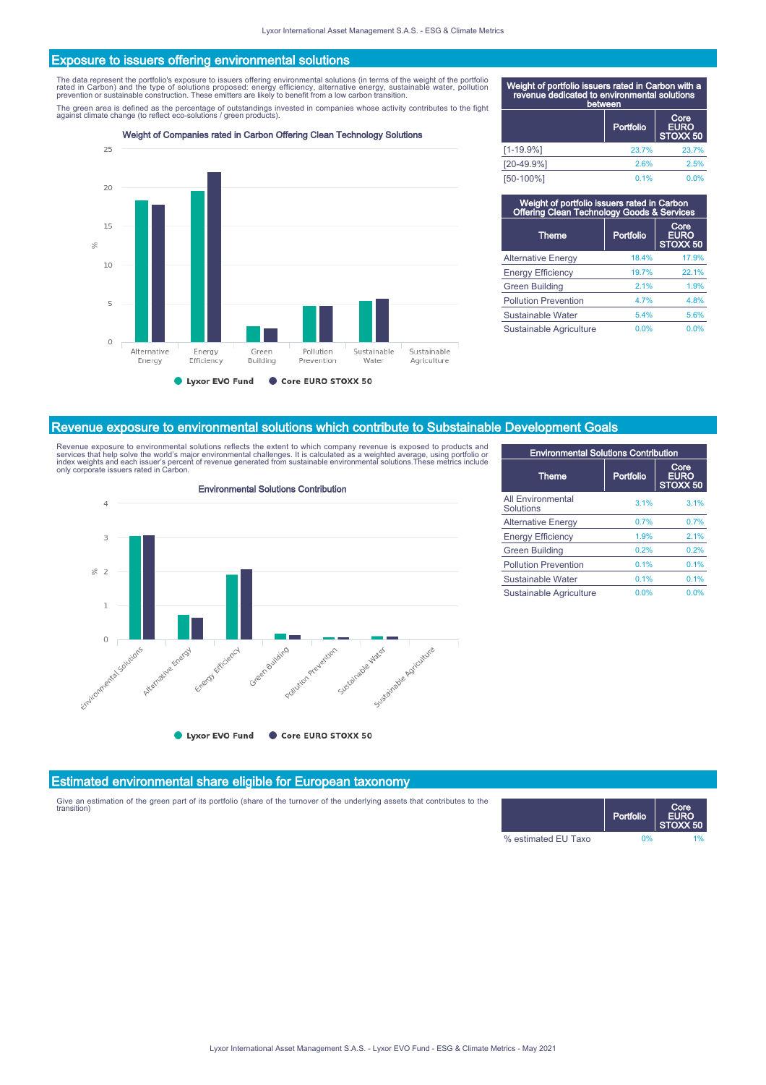#### Exposure to issuers offering environmental solutions

The data represent the portfolio's exposure to issuers offering environmental solutions (in terms of the weight of the portfolio<br>rated in Carbon) and the type of solutions proposed: energy efficiency, alternative energy, s

The green area is defined as the percentage of outstandings invested in companies whose activity contributes to the fight<br>against climate change (to reflect eco-solutions / green products).

Weight of Companies rated in Carbon Offering Clean Technology Solutions



| Weight of portfolio issuers rated in Carbon with a<br>revenue dedicated to environmental solutions<br>between |           |                                 |
|---------------------------------------------------------------------------------------------------------------|-----------|---------------------------------|
|                                                                                                               | Portfolio | Core<br><b>EURO</b><br>STOXX 50 |
| $[1 - 19.9%]$                                                                                                 | 23.7%     | 23.7%                           |
| $[20-49.9%]$                                                                                                  | 2.6%      | 2.5%                            |
| [50-100%]                                                                                                     | 0.1%      | 0.0%                            |

| Weight of portfolio issuers rated in Carbon<br>Offering Clean Technology Goods & Services |           |                                        |
|-------------------------------------------------------------------------------------------|-----------|----------------------------------------|
| <b>Theme</b>                                                                              | Portfolio | Core<br><b>EURO</b><br><b>STOXX 50</b> |
| <b>Alternative Energy</b>                                                                 | 18.4%     | 17.9%                                  |
| <b>Energy Efficiency</b>                                                                  | 19.7%     | 22.1%                                  |
| <b>Green Building</b>                                                                     | 2.1%      | 1.9%                                   |
| <b>Pollution Prevention</b>                                                               | 4 7%      | 4.8%                                   |
| Sustainable Water                                                                         | 5.4%      | 5.6%                                   |
| Sustainable Agriculture                                                                   | 0.0%      | 0.0%                                   |

#### Revenue exposure to environmental solutions which contribute to Substainable Development Goals

Revenue exposure to environmental solutions reflects the extent to which company revenue is exposed to products and<br>services that help solve the world's major environmental challenges. It is calculated as a weighted averag



| <b>Environmental Solutions Contribution</b> |           |                                 |
|---------------------------------------------|-----------|---------------------------------|
| <b>Theme</b>                                | Portfolio | Core<br><b>EURO</b><br>STOXX 50 |
| <b>All Environmental</b><br>Solutions       | 3.1%      | 3.1%                            |
| <b>Alternative Energy</b>                   | 0.7%      | 0.7%                            |
| <b>Energy Efficiency</b>                    | 1.9%      | 2.1%                            |
| <b>Green Building</b>                       | 0.2%      | 0.2%                            |
| <b>Pollution Prevention</b>                 | 0.1%      | 0.1%                            |
| Sustainable Water                           | 0.1%      | 0.1%                            |
| Sustainable Agriculture                     | 0.0%      | 0.0%                            |

#### Estimated environmental share eligible for European taxonomy

Give an estimation of the green part of its portfolio (share of the turnover of the underlying assets that contributes to the transition)

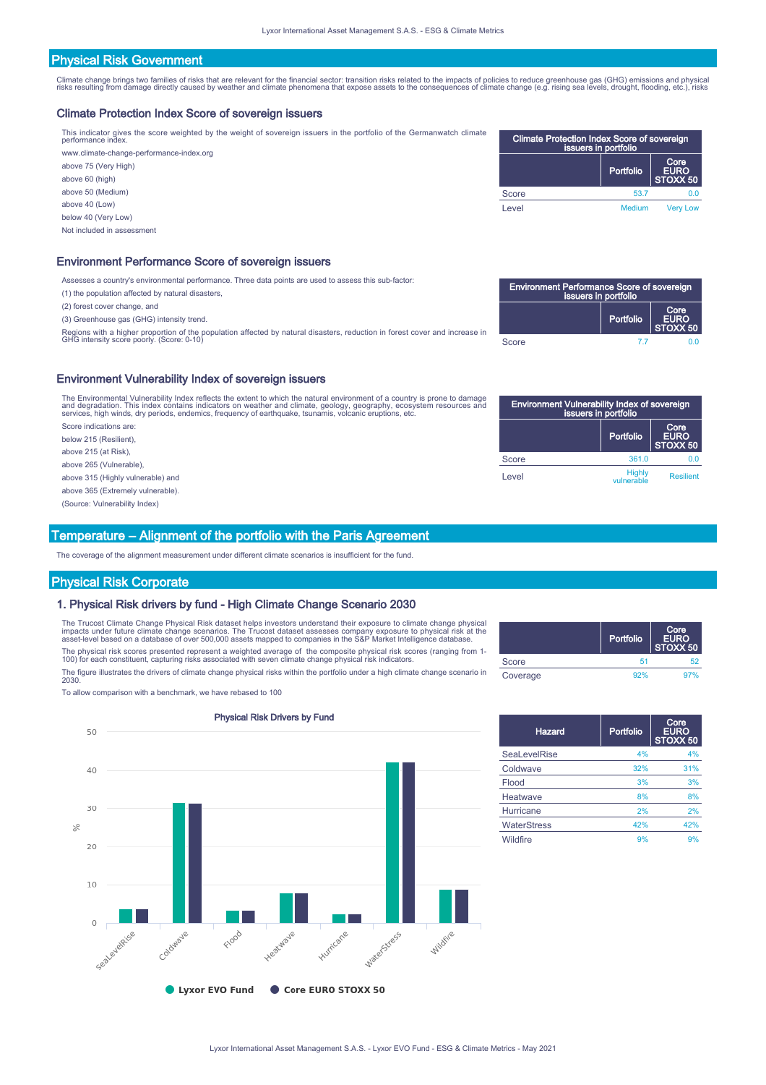#### Physical Risk Government

Climate change brings two families of risks that are relevant for the financial sector: transition risks related to the impacts of policies to reduce greenhouse gas (GHG) emissions and physical<br>risks resulting from damage

#### Climate Protection Index Score of sovereign issuers

This indicator gives the score weighted by the weight of sovereign issuers in the portfolio of the Germanwatch climate performance index. www.climate-change-performance-index.org

above 75 (Very High) above 60 (high) above 50 (Medium) above 40 (Low) below 40 (Very Low)

| Climate Protection Index Score of sovereign<br>issuers in portfolio |               |                          |
|---------------------------------------------------------------------|---------------|--------------------------|
|                                                                     | Portfolio     | Core<br>EURO<br>STOXX 50 |
| Score                                                               | 53.7          | 0.0                      |
| Level                                                               | <b>Medium</b> | <b>Very Low</b>          |

#### Environment Performance Score of sovereign issuers

Assesses a country's environmental performance. Three data points are used to assess this sub-factor:

(1) the population affected by natural disasters,

(2) forest cover change, and

Not included in assessment

(3) Greenhouse gas (GHG) intensity trend.

Regions with a higher proportion of the population affected by natural disasters, reduction in forest cover and increase in GHG intensity score poorly. (Score: 0-10)

#### Environment Vulnerability Index of sovereign issuers

The Environmental Vulnerability Index reflects the extent to which the natural environment of a country is prone to damage<br>and degradation. This index contains indicators on weather and climate, geology, geography, ecosyst

Score indications are: below 215 (Resilient),

above 215 (at Risk),

above 265 (Vulnerable),

above 315 (Highly vulnerable) and

above 365 (Extremely vulnerable).

(Source: Vulnerability Index)

#### Temperature – Alignment of the portfolio with the Paris Agreement

The coverage of the alignment measurement under different climate scenarios is insufficient for the fund.

#### Physical Risk Corporate

#### 1. Physical Risk drivers by fund - High Climate Change Scenario 2030

The Trucost Climate Change Physical Risk dataset helps investors understand their exposure to climate change physical<br>impacts under future climate change scenarios. The Trucost dataset assesses company exposure to physical The physical risk scores presented represent a weighted average of the composite physical risk scores (ranging from 1- 100) for each constituent, capturing risks associated with seven climate change physical risk indicators.

The figure illustrates the drivers of climate change physical risks within the portfolio under a high climate change scenario in 2030.

To allow comparison with a benchmark, we have rebased to 100



| <b>Environment Performance Score of sovereign</b><br>issuers in portfolio |           |                          |  |
|---------------------------------------------------------------------------|-----------|--------------------------|--|
|                                                                           | Portfolio | Core<br>EURO<br>STOXX 50 |  |
| Score                                                                     | 77        | 0 O                      |  |

| <b>Environment Vulnerability Index of sovereign</b><br>issuers in portfolio |                             |                          |  |
|-----------------------------------------------------------------------------|-----------------------------|--------------------------|--|
|                                                                             | Portfolio                   | Core<br>EURO<br>STOXX 50 |  |
| Score                                                                       | 361.0                       |                          |  |
| Level                                                                       | <b>Highly</b><br>vulnerable | <b>Resilient</b>         |  |

|          | Portfolio | Core<br>  EURO<br> STOXX 50 |
|----------|-----------|-----------------------------|
| Score    | 51        | 52                          |
| Coverage | 92%       | 97%                         |

| Hazard             | Portfolio | Core<br><b>EURO</b><br>STOXX 50 |
|--------------------|-----------|---------------------------------|
| SeaLevelRise       | 4%        | 4%                              |
| Coldwave           | 32%       | 31%                             |
| Flood              | 3%        | 3%                              |
| Heatwave           | 8%        | 8%                              |
| Hurricane          | 2%        | 2%                              |
| <b>WaterStress</b> | 42%       | 42%                             |
| Wildfire           | 9%        | 9%                              |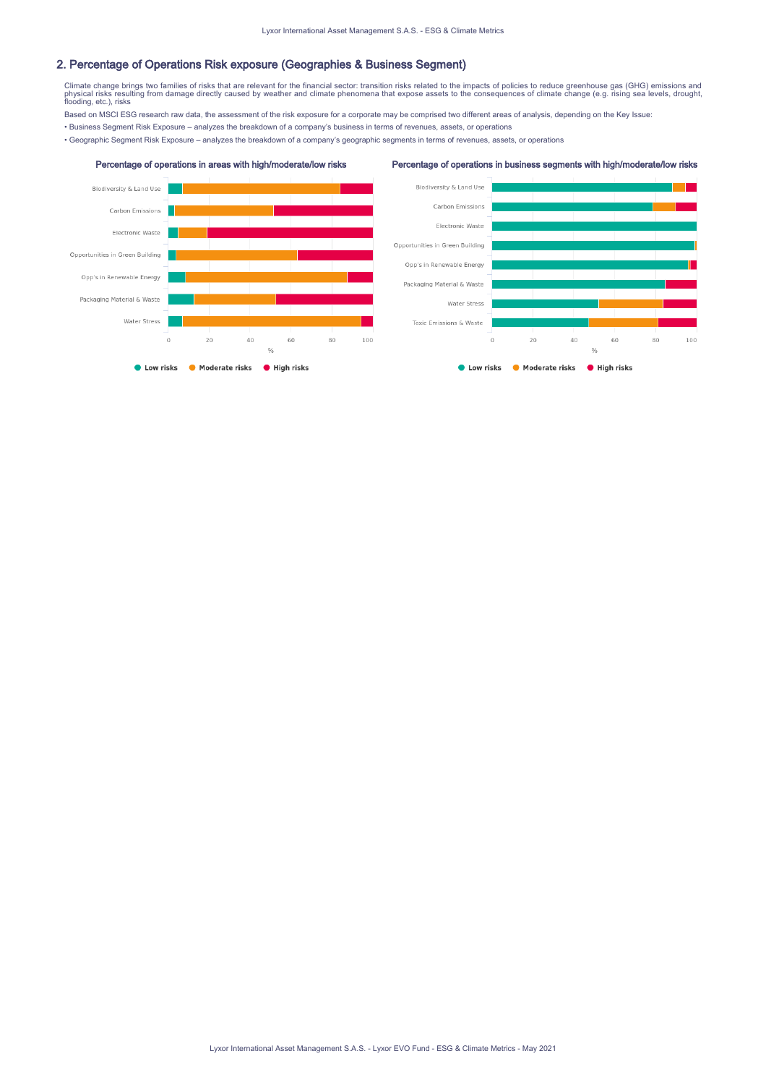#### 2. Percentage of Operations Risk exposure (Geographies & Business Segment)

Climate change brings two families of risks that are relevant for the financial sector: transition risks related to the impacts of policies to reduce greenhouse gas (GHG) emissions and<br>physical risks resulting from damage

Based on MSCI ESG research raw data, the assessment of the risk exposure for a corporate may be comprised two different areas of analysis, depending on the Key Issue:

• Business Segment Risk Exposure – analyzes the breakdown of a company's business in terms of revenues, assets, or operations

• Geographic Segment Risk Exposure – analyzes the breakdown of a company's geographic segments in terms of revenues, assets, or operations